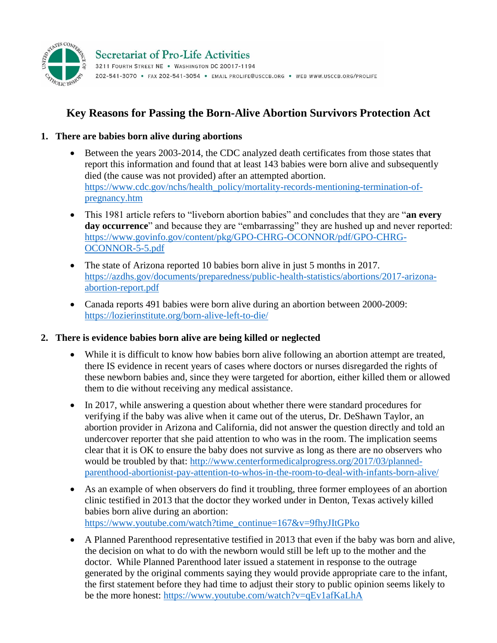

# **Key Reasons for Passing the Born-Alive Abortion Survivors Protection Act**

## **1. There are babies born alive during abortions**

- Between the years 2003-2014, the CDC analyzed death certificates from those states that report this information and found that at least 143 babies were born alive and subsequently died (the cause was not provided) after an attempted abortion. [https://www.cdc.gov/nchs/health\\_policy/mortality-records-mentioning-termination-of](https://www.cdc.gov/nchs/health_policy/mortality-records-mentioning-termination-of-pregnancy.htm)[pregnancy.htm](https://www.cdc.gov/nchs/health_policy/mortality-records-mentioning-termination-of-pregnancy.htm)
- This 1981 article refers to "liveborn abortion babies" and concludes that they are "**an every day occurrence**" and because they are "embarrassing" they are hushed up and never reported: [https://www.govinfo.gov/content/pkg/GPO-CHRG-OCONNOR/pdf/GPO-CHRG-](https://www.govinfo.gov/content/pkg/GPO-CHRG-OCONNOR/pdf/GPO-CHRG-OCONNOR-5-5.pdf)[OCONNOR-5-5.pdf](https://www.govinfo.gov/content/pkg/GPO-CHRG-OCONNOR/pdf/GPO-CHRG-OCONNOR-5-5.pdf)
- The state of Arizona reported 10 babies born alive in just 5 months in 2017. [https://azdhs.gov/documents/preparedness/public-health-statistics/abortions/2017-arizona](https://azdhs.gov/documents/preparedness/public-health-statistics/abortions/2017-arizona-abortion-report.pdf)[abortion-report.pdf](https://azdhs.gov/documents/preparedness/public-health-statistics/abortions/2017-arizona-abortion-report.pdf)
- Canada reports 491 babies were born alive during an abortion between 2000-2009: <https://lozierinstitute.org/born-alive-left-to-die/>

### **2. There is evidence babies born alive are being killed or neglected**

- While it is difficult to know how babies born alive following an abortion attempt are treated, there IS evidence in recent years of cases where doctors or nurses disregarded the rights of these newborn babies and, since they were targeted for abortion, either killed them or allowed them to die without receiving any medical assistance.
- In 2017, while answering a question about whether there were standard procedures for verifying if the baby was alive when it came out of the uterus, Dr. DeShawn Taylor, an abortion provider in Arizona and California, did not answer the question directly and told an undercover reporter that she paid attention to who was in the room. The implication seems clear that it is OK to ensure the baby does not survive as long as there are no observers who would be troubled by that: [http://www.centerformedicalprogress.org/2017/03/planned](http://www.centerformedicalprogress.org/2017/03/planned-parenthood-abortionist-pay-attention-to-whos-in-the-room-to-deal-with-infants-born-alive/)[parenthood-abortionist-pay-attention-to-whos-in-the-room-to-deal-with-infants-born-alive/](http://www.centerformedicalprogress.org/2017/03/planned-parenthood-abortionist-pay-attention-to-whos-in-the-room-to-deal-with-infants-born-alive/)
- As an example of when observers do find it troubling, three former employees of an abortion clinic testified in 2013 that the doctor they worked under in Denton, Texas actively killed babies born alive during an abortion: [https://www.youtube.com/watch?time\\_continue=167&v=9fhyJItGPko](https://www.youtube.com/watch?time_continue=167&v=9fhyJItGPko)
- A Planned Parenthood representative testified in 2013 that even if the baby was born and alive, the decision on what to do with the newborn would still be left up to the mother and the doctor. While Planned Parenthood later issued a statement in response to the outrage generated by the original comments saying they would provide appropriate care to the infant, the first statement before they had time to adjust their story to public opinion seems likely to be the more honest:<https://www.youtube.com/watch?v=qEv1afKaLhA>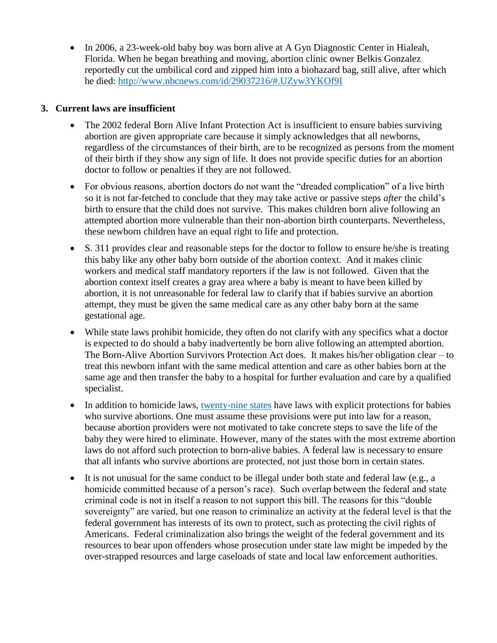• In 2006, a 23-week-old baby boy was born alive at A Gyn Diagnostic Center in Hialeah, Florida. When he began breathing and moving, abortion clinic owner Belkis Gonzalez reportedly cut the umbilical cord and zipped him into a biohazard bag, still alive, after which he died:<http://www.nbcnews.com/id/29037216/#.UZyw3YKOf9I>

### **3. Current laws are insufficient**

- The 2002 federal Born Alive Infant Protection Act is insufficient to ensure babies surviving abortion are given appropriate care because it simply acknowledges that all newborns, regardless of the circumstances of their birth, are to be recognized as persons from the moment of their birth if they show any sign of life. It does not provide specific duties for an abortion doctor to follow or penalties if they are not followed.
- For obvious reasons, abortion doctors do not want the "dreaded complication" of a live birth so it is not far-fetched to conclude that they may take active or passive steps *after* the child's birth to ensure that the child does not survive. This makes children born alive following an attempted abortion more vulnerable than their non-abortion birth counterparts. Nevertheless, these newborn children have an equal right to life and protection.
- S. 311 provides clear and reasonable steps for the doctor to follow to ensure he/she is treating this baby like any other baby born outside of the abortion context. And it makes clinic workers and medical staff mandatory reporters if the law is not followed. Given that the abortion context itself creates a gray area where a baby is meant to have been killed by abortion, it is not unreasonable for federal law to clarify that if babies survive an abortion attempt, they must be given the same medical care as any other baby born at the same gestational age.
- While state laws prohibit homicide, they often do not clarify with any specifics what a doctor is expected to do should a baby inadvertently be born alive following an attempted abortion. The Born-Alive Abortion Survivors Protection Act does. It makes his/her obligation clear – to treat this newborn infant with the same medical attention and care as other babies born at the same age and then transfer the baby to a hospital for further evaluation and care by a qualified specialist.
- In addition to homicide laws, [twenty-nine states](https://aul.org/wp-content/uploads/2019/04/Defending-Life-2019.pdf#page=340) have laws with explicit protections for babies who survive abortions. One must assume these provisions were put into law for a reason, because abortion providers were not motivated to take concrete steps to save the life of the baby they were hired to eliminate. However, many of the states with the most extreme abortion laws do not afford such protection to born-alive babies. A federal law is necessary to ensure that all infants who survive abortions are protected, not just those born in certain states.
- It is not unusual for the same conduct to be illegal under both state and federal law (e.g., a homicide committed because of a person's race). Such overlap between the federal and state criminal code is not in itself a reason to not support this bill. The reasons for this "double sovereignty" are varied, but one reason to criminalize an activity at the federal level is that the federal government has interests of its own to protect, such as protecting the civil rights of Americans. Federal criminalization also brings the weight of the federal government and its resources to bear upon offenders whose prosecution under state law might be impeded by the over-strapped resources and large caseloads of state and local law enforcement authorities.